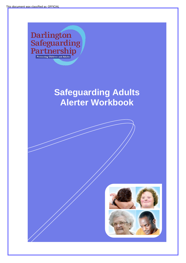Darlington<br>Safeguarding<br>Partnership

# **Safeguarding Adults Alerter Workbook**



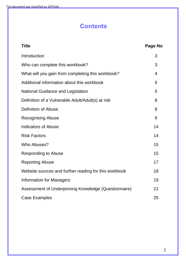## **Contents**

| <b>Title</b>                                          | Page No |
|-------------------------------------------------------|---------|
| Introduction                                          | 3       |
| Who can complete this workbook?                       | 3       |
| What will you gain from completing this workbook?     | 4       |
| Additional information about this workbook            | 5       |
| <b>National Guidance and Legislation</b>              | 5       |
| Definition of a Vulnerable Adult/Adult(s) at risk     | 8       |
| <b>Definition of Abuse</b>                            | 8       |
| <b>Recognising Abuse</b>                              | 9       |
| <b>Indicators of Abuse</b>                            | 14      |
| <b>Risk Factors</b>                                   | 14      |
| Who Abuses?                                           | 15      |
| <b>Responding to Abuse</b>                            | 15      |
| <b>Reporting Abuse</b>                                | 17      |
| Website sources and further reading for this workbook | 18      |
| <b>Information for Managers</b>                       | 19      |
| Assessment of Underpinning Knowledge (Questionnaire)  | 21      |
| <b>Case Examples</b>                                  | 25      |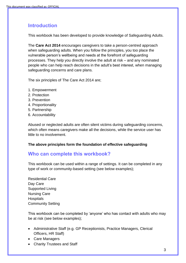### **Introduction**

This workbook has been developed to provide knowledge of Safeguarding Adults.

The **Care Act 2014** encourages caregivers to take a person-centred approach when safeguarding adults. When you follow the principles, you too place the vulnerable person's wellbeing and needs at the forefront of safeguarding processes. They help you directly involve the adult at risk – and any nominated people who can help reach decisions in the adult's best interest, when managing safeguarding concerns and care plans.

The six principles of The Care Act 2014 are;

- 1. Empowerment
- 2. Protection
- 3. Prevention
- 4. Proportionality
- 5. Partnership
- 6. Accountability

Abused or neglected adults are often silent victims during safeguarding concerns, which often means caregivers make all the decisions, while the service user has little to no involvement.

#### **The above principles form the foundation of effective safeguarding**

#### **Who can complete this workbook?**

This workbook can be used within a range of settings. It can be completed in any type of work or community-based setting (see below examples);

Residential Care Day Care Supported Living Nursing Care **Hospitals** Community Setting

This workbook can be completed by 'anyone' who has contact with adults who may be at risk (see below examples);

- Administrative Staff (e.g. GP Receptionists, Practice Managers, Clerical Officers, HR Staff)
- Care Managers
- Charity Trustees and Staff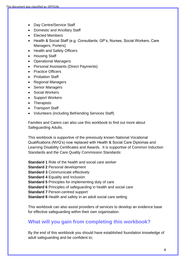- Day Centre/Service Staff
- Domestic and Ancillary Staff
- Elected Members
- Health & Social Staff (e.g. Consultants, GP's, Nurses, Social Workers, Care Managers, Porters)
- Health and Safety Officers
- Housing Staff
- Operational Managers
- Personal Assistants (Direct Payments)
- Practice Officers
- Probation Staff
- Regional Managers
- Senior Managers
- Social Workers
- Support Workers
- Therapists
- Transport Staff
- Volunteers (including Befriending Services Staff)

Families and Carers can also use this workbook to find out more about Safeguarding Adults.

This workbook is supportive of the previously known National Vocational Qualifications (NVQ's) now replaced with Health & Social Care Diplomas and Learning Disability Certificates and Awards. It is supportive of Common Induction Standards and the Care Quality Commission Standards:

**Standard 1** Role of the health and social care worker **Standard 2** Personal development **Standard 3** Communicate effectively **Standard 4** Equality and Inclusion **Standard 5** Principles for implementing duty of care **Standard 6** Principles of safeguarding in health and social care **Standard 7** Person-centred support **Standard 8** Health and safety in an adult social care setting

This workbook can also assist providers of services to develop an evidence base for effective safeguarding within their own organisation.

### **What will you gain from completing this workbook?**

By the end of this workbook you should have established foundation knowledge of adult safeguarding and be confident to;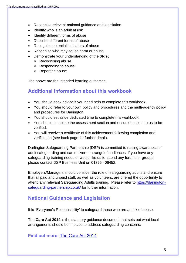- Recognise relevant national guidance and legislation
- Identify who is an adult at risk
- Identify different forms of abuse
- Describe different forms of abuse
- Recognise potential indicators of abuse
- Recognise who may cause harm or abuse
- Demonstrate your understanding of the **3R's;**
	- ➢ **R**ecognising abuse
	- ➢ **R**esponding to abuse
	- ➢ **R**eporting abuse

The above are the intended learning outcomes.

### **Additional information about this workbook**

- You should seek advice if you need help to complete this workbook.
- You should refer to your own policy and procedures and the multi-agency policy and procedures for Darlington.
- You should set aside dedicated time to complete this workbook.
- You should complete the assessment section and ensure it is sent to us to be verified.
- You will receive a certificate of this achievement following completion and verification (see back page for further detail).

Darlington Safeguarding Partnership (DSP) is committed to raising awareness of adult safeguarding and can deliver to a range of audiences. If you have any safeguarding training needs or would like us to attend any forums or groups, please contact DSP Business Unit on 01325 406452.

Employers/Managers should consider the role of safeguarding adults and ensure that all paid and unpaid staff, as well as volunteers, are offered the opportunity to attend any relevant Safeguarding Adults training. Please refer to [https://darlington](https://darlington-safeguarding-partnership.co.uk/)[safeguarding-partnership.co.uk/](https://darlington-safeguarding-partnership.co.uk/) for further information.

#### **National Guidance and Legislation**

It is "Everyone's Responsibility' to safeguard those who are at risk of abuse.

The **Care Act 2014** is the statutory guidance document that sets out what local arrangements should be in place to address safeguarding concerns.

**Find out more:** [The Care Act 2014](http://www.legislation.gov.uk/ukpga/2014/23/contents/enacted)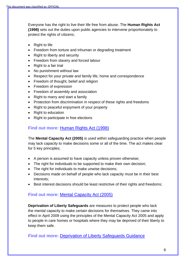Everyone has the right to live their life free from abuse. The **Human Rights Act (1998)** sets out the duties upon public agencies to intervene proportionately to protect the rights of citizens;

- Right to life
- Freedom from torture and inhuman or degrading treatment
- Right to liberty and security
- Freedom from slavery and forced labour
- Right to a fair trial
- No punishment without law
- Respect for your private and family life, home and correspondence
- Freedom of thought, belief and religion
- Freedom of expression
- Freedom of assembly and association
- Right to marry and start a family
- Protection from discrimination in respect of these rights and freedoms
- Right to peaceful enjoyment of your property
- Right to education
- Right to participate in free elections

#### **Find out more:** [Human Rights Act \(1998\)](http://www.legislation.gov.uk/ukpga/1998/42/contents)

The **Mental Capacity Act (2005)** is used within safeguarding practice when people may lack capacity to make decisions some or all of the time. The act makes clear for 5 key principles;

- A person is assumed to have capacity unless proven otherwise;
- The right for individuals to be supported to make their own decision;
- The right for individuals to make unwise decisions;
- Decisions made on behalf of people who lack capacity must be in their best interests;
- Best interest decisions should be least restrictive of their rights and freedoms;

### **Find out more:** [Mental Capacity Act \(2005\)](http://www.legislation.gov.uk/ukpga/2005/9/contents)

**Deprivation of Liberty Safeguards** are measures to protect people who lack the mental capacity to make certain decisions for themselves. They came into effect in April 2009 using the principles of the Mental Capacity Act 2005 and apply to people in care homes or hospitals where they may be deprived of their liberty to keep them safe.

**Find out more:** [Deprivation of Liberty Safeguards Guidance](https://www.gov.uk/government/publications/deprivation-of-liberty-safeguards-forms-and-guidance)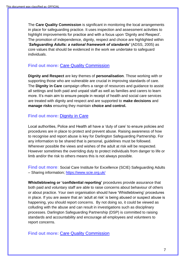The **Care Quality Commission** is significant in monitoring the local arrangements in place for safeguarding practice. It uses inspection and assessment activities to highlight improvements for practice and with a focus upon 'Dignity and Respect'. The promotion of independence, dignity, respect and choice are highlighted within *'Safeguarding Adults: a national framework of standards'* (ADSS, 2005) as core values that should be evidenced in the work we undertake to safeguard individuals.

#### **Find out more:** Care [Quality Commission](https://cqc.org.uk/)

**Dignity and Respect** are key themes of **personalisation**. Those working with or supporting those who are vulnerable are crucial in improving standards of care. The **Dignity in Care** campaign offers a range of resources and guidance to assist all settings and both paid and unpaid staff as well as families and carers to learn more. It's main aim to ensure people in receipt of health and social care services are treated with dignity and respect and are supported to **make decisions** and **manage risks** ensuring they maintain **choice and control.**

#### **Find out more:** [Dignity in Care](http://www.scie.org.uk/topic/people/olderpeople/dignity)

Local authorities, Police and Health all have a 'duty of care' to ensure policies and procedures are in place to protect and prevent abuse. Raising awareness of how to recognise and report abuse is key for Darlington Safeguarding Partnership. For any information to be shared that is personal, guidelines must be followed. Wherever possible the views and wishes of the adult at risk will be respected. However sometimes the overriding duty to protect individuals from danger to life or limb and/or the risk to others means this is not always possible.

**Find out more:** Social Care Institute for Excellence (SCIE) Safeguarding Adults – Sharing information; [https://www.scie.org.uk/](https://www.scie.org.uk/safeguarding/adults/practice/sharing-information)

**Whistleblowing or 'confidential reporting'** procedures provide assurance that both paid and voluntary staff are able to raise concerns about behaviour of others or about practice. Your own organisation should have 'Whistleblowing' procedures in place. If you are aware that an 'adult at risk' is being abused or suspect abuse is happening, you should report concerns. By not doing so, it could be viewed as colluding with the abuse and can result in investigations such as disciplinary processes. Darlington Safeguarding Partnership (DSP) is committed to raising standards and accountability and encourage all employees and volunteers to report concerns.

**Find out more:** [Care Quality Commission](https://www.cqc.org.uk/files/whistleblowing-quick-guide-raising-concern-cqc)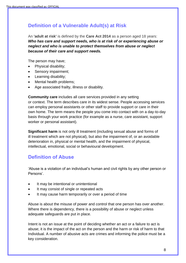### **Definition of a Vulnerable Adult(s) at Risk**

An **'adult at risk'** is defined by the **Care Act 2014** as a person aged 18 years: *Who has care and support needs, who is at risk of or experiencing abuse or neglect and who is unable to protect themselves from abuse or neglect because of their care and support needs.*

The person may have;

- Physical disability;
- Sensory impairment;
- Learning disability;
- Mental health problems:
- Age associated frailty, illness or disability.

**Community care** includes all care services provided in any setting or context. The term describes care in its widest sense. People accessing services can employ personal assistants or other staff to provide support or care in their own home. The term means the people you come into contact with on a day-to-day basis through your work practice (for example as a nurse, care assistant, support worker or personal assistant).

**Significant harm** is not only ill treatment (including sexual abuse and forms of ill treatment which are not physical), but also the impairment of, or an avoidable deterioration in, physical or mental health, and the impairment of physical, intellectual, emotional, social or behavioural development.

### **Definition of Abuse**

'Abuse is a violation of an individual's human and civil rights by any other person or Persons'.

- It may be intentional or unintentional
- It may consist of single or repeated acts
- It may cause harm temporarily or over a period of time

Abuse is about the misuse of power and control that one person has over another. Where there is dependency, there is a possibility of abuse or neglect unless adequate safeguards are put in place.

Intent is not an issue at the point of deciding whether an act or a failure to act is abuse; it is the impact of the act on the person and the harm or risk of harm to that Individual. A number of abusive acts are crimes and informing the police must be a key consideration.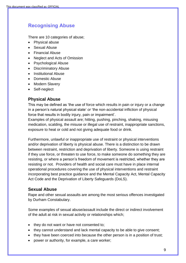### **Recognising Abuse**

There are 10 categories of abuse;

- Physical abuse
- Sexual Abuse
- Financial Abuse
- Neglect and Acts of Omission
- Psychological Abuse
- Discriminatory Abuse
- Institutional Abuse
- Domestic Abuse
- Modern Slavery
- Self-neglect

#### **Physical Abuse**

This may be defined as 'the use of force which results in pain or injury or a change in a person's natural physical state' *or* 'the non-accidental infliction of physical force that results in bodily injury, pain or impairment'.

Examples of physical assault are; hitting, pushing, pinching, shaking, misusing medication, scalding, the misuse or illegal use of restraint, inappropriate sanctions, exposure to heat or cold and not giving adequate food or drink.

Furthermore, unlawful or inappropriate use of restraint or physical interventions and/or deprivation of liberty is physical abuse. There is a distinction to be drawn between restraint, restriction and deprivation of liberty. Someone is using restraint if they use force, or threaten to use force, to make someone do something they are resisting, or where a person's freedom of movement is restricted, whether they are resisting or not. Providers of health and social care must have in place internal operational procedures covering the use of physical interventions and restraint incorporating best practice guidance and the Mental Capacity Act, Mental Capacity Act Code and the Deprivation of Liberty Safeguards (DoLS).

#### **Sexual Abuse**

Rape and other sexual assaults are among the most serious offences investigated by Durham Constabulary.

Some examples of sexual abuse/assault include the direct or indirect involvement of the adult at risk in sexual activity or relationships which;

- they do not want or have not consented to;
- they cannot understand and lack mental capacity to be able to give consent;
- they have been coerced into because the other person is in a position of trust;
- power or authority, for example, a care worker;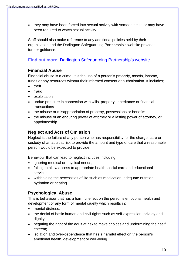• they may have been forced into sexual activity with someone else or may have been required to watch sexual activity.

Staff should also make reference to any additional policies held by their organisation and the Darlington Safeguarding Partnership's website provides further guidance.

### **Find out more:** [Darlington Safeguarding Partnership's](https://darlington-safeguarding-partnership.co.uk/) website

#### **Financial Abuse**

Financial abuse is a crime. It is the use of a person's property, assets, income, funds or any resources without their informed consent or authorisation. It includes;

- theft
- fraud
- exploitation
- undue pressure in connection with wills, property, inheritance or financial transactions
- the misuse or misappropriation of property, possessions or benefits
- the misuse of an enduring power of attorney or a lasting power of attorney, or appointeeship.

#### **Neglect and Acts of Omission**

Neglect is the failure of any person who has responsibility for the charge, care or custody of an adult at risk to provide the amount and type of care that a reasonable person would be expected to provide.

Behaviour that can lead to neglect includes including;

- ignoring medical or physical needs;
- failing to allow access to appropriate health, social care and educational services;
- withholding the necessities of life such as medication, adequate nutrition, hydration or heating.

#### **Psychological Abuse**

This is behaviour that has a harmful effect on the person's emotional health and development or any form of mental cruelty which results in:

- mental distress:
- the denial of basic human and civil rights such as self-expression, privacy and dignity;
- negating the right of the adult at risk to make choices and undermining their self esteem;
- isolation and over-dependence that has a harmful effect on the person's emotional health, development or well-being.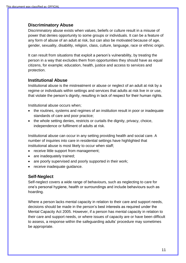#### **Discriminatory Abuse**

Discriminatory abuse exists when values, beliefs or culture result in a misuse of power that denies opportunity to some groups or individuals. It can be a feature of any form of abuse of an adult at risk, but can also be motivated because of age, gender, sexuality, disability, religion, class, culture, language, race or ethnic origin.

It can result from situations that exploit a person's vulnerability, by treating the person in a way that excludes them from opportunities they should have as equal citizens, for example; education, health, justice and access to services and protection.

#### **Institutional Abuse**

Institutional abuse is the mistreatment or abuse or neglect of an adult at risk by a regime or individuals within settings and services that adults at risk live in or use, that violate the person's dignity, resulting in lack of respect for their human rights.

Institutional abuse occurs when;

- the routines, systems and regimes of an institution result in poor or inadequate standards of care and poor practice;
- the whole setting denies, restricts or curtails the dignity, privacy, choice, independence or fulfilment of adults at risk.

Institutional abuse can occur in any setting providing health and social care. A number of inquiries into care in residential settings have highlighted that institutional abuse is most likely to occur when staff;

- receive little support from management;
- are inadequately trained;
- are poorly supervised and poorly supported in their work;
- receive inadequate quidance.

#### **Self-Neglect**

Self-neglect covers a wide range of behaviours, such as neglecting to care for one's personal hygiene, health or surroundings and include behaviours such as hoarding.

Where a person lacks mental capacity in relation to their care and support needs, decisions should be made in the person's best interests as required under the Mental Capacity Act 2005. However, if a person has mental capacity in relation to their care and support needs, or where issues of capacity are or have been difficult to assess, a response within the safeguarding adults' procedure may sometimes be appropriate.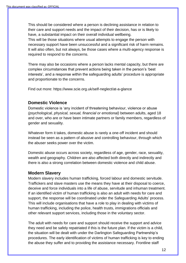This should be considered where a person is declining assistance in relation to their care and support needs and the impact of their decision, has or is likely to have, a substantial impact on their overall individual wellbeing.

This will be those situations where usual attempts to engage the person with necessary support have been unsuccessful and a significant risk of harm remains. It will also often, but not always, be those cases where a multi-agency response is required to respond to the concerns.

There may also be occasions where a person lacks mental capacity, but there are complex circumstances that prevent actions being taken in the person's 'best interests', and a response within the safeguarding adults' procedure is appropriate and proportionate to the concerns.

Find out more: https://www.scie.org.uk/self-neglect/at-a-glance

#### **Domestic Violence**

Domestic violence is 'any incident of threatening behaviour, violence or abuse *(psychological, physical, sexual, financial or emotional)* between adults, aged 18 and over, who are or have been intimate partners or family members, regardless of gender and sexuality.

Whatever form it takes, domestic abuse is rarely a one-off incident and should instead be seen as a pattern of abusive and controlling behaviour, through which the abuser seeks power over the victim.

Domestic abuse occurs across society, regardless of age, gender, race, sexuality, wealth and geography. Children are also affected both directly and indirectly and there is also a strong correlation between domestic violence and child abuse.

#### **Modern Slavery**

Modern slavery includes human trafficking, forced labour and domestic servitude. Traffickers and slave masters use the means they have at their disposal to coerce, deceive and force individuals into a life of abuse, servitude and inhuman treatment. If an identified victim of human trafficking is also an adult with needs for care and support, the response will be coordinated under the Safeguarding Adults' process. This will include organisations that have a role to play in dealing with victims of human trafficking, including the police, health trusts, immigrations officials and other relevant support services, including those in the voluntary sector.

The adult with needs for care and support should receive the support and advice they need and be safely repatriated if this is the future plan. If the victim is a child, the situation will be dealt with under the Darlington Safeguarding Partnership's procedures. The early identification of victims of human trafficking is key to ending the abuse they suffer and to providing the assistance necessary. Frontline staff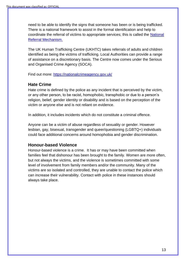need to be able to identify the signs that someone has been or is being trafficked. There is a national framework to assist in the formal identification and help to coordinate the referral of victims to appropriate services; this is called the [National](https://www.gov.uk/government/publications/human-trafficking-victims-referral-and-assessment-forms/guidance-on-the-national-referral-mechanism-for-potential-adult-victims-of-modern-slavery-england-and-wales)  [Referral Mechanism.](https://www.gov.uk/government/publications/human-trafficking-victims-referral-and-assessment-forms/guidance-on-the-national-referral-mechanism-for-potential-adult-victims-of-modern-slavery-england-and-wales)

The UK Human Trafficking Centre (UKHTC) takes referrals of adults and children identified as being the victims of trafficking. Local Authorities can provide a range of assistance on a discretionary basis. The Centre now comes under the Serious and Organised Crime Agency (SOCA).

Find out more: [https://nationalcrimeagency.gov.uk/](https://nationalcrimeagency.gov.uk/what-we-do/crime-threats/modern-slavery-and-human-trafficking?highlight=WyJ0cmFmZmlja2luZyIsInRyYWZmaWNrZWQiLCJ0cmFmZmlja2VycyIsInRyYWZmaWNrZXIiLCJ0cmFmZmlja3MiLCJ0cmFmZmlja2VyJ3MiLCJ0cmFmZmljayJd)

#### **Hate Crime**

Hate crime is defined by the police as any incident that is perceived by the victim, or any other person, to be racist, homophobic, transphobic or due to a person's religion, belief, gender identity or disability and is based on the perception of the victim or anyone else and is not reliant on evidence.

In addition, it includes incidents which do not constitute a criminal offence.

Anyone can be a victim of abuse regardless of sexuality or gender. However lesbian, gay, bisexual, transgender and queer/questioning (LGBTQ+) individuals could face additional concerns around homophobia and gender discrimination.

#### **Honour-based Violence**

Honour-based violence is a crime. It has or may have been committed when families feel that dishonour has been brought to the family. Women are more often, but not always the victims, and the violence is sometimes committed with some level of involvement from family members and/or the community. Many of the victims are so isolated and controlled, they are unable to contact the police which can increase their vulnerability. Contact with police in these instances should always take place.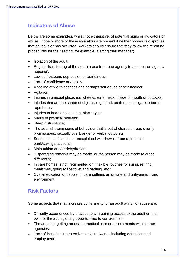### **Indicators of Abuse**

Below are some examples, whilst not exhaustive, of potential signs or indicators of abuse. If one or more of these indicators are present it neither proves or disproves that abuse is or has occurred, workers should ensure that they follow the reporting procedures for their setting, for example; alerting their manager;

- Isolation of the adult:
- Regular transferring of the adult's case from one agency to another, or 'agency hopping';
- Low self-esteem, depression or tearfulness;
- Lack of confidence or anxiety;
- A feeling of worthlessness and perhaps self-abuse or self-neglect;
- Agitation;
- Injuries in unusual place, e.g. cheeks, ears, neck, inside of mouth or buttocks;
- Injuries that are the shape of objects, e.g. hand, teeth marks, cigarette burns, rope burns;
- Injuries to head or scalp, e.g. black eyes;
- Marks of physical restraint;
- Sleep disturbance:
- The adult showing signs of behaviour that is out of character, e.g. overtly promiscuous, sexually overt, anger or verbal outbursts;
- Sudden loss of assets or unexplained withdrawals from a person's bank/savings account;
- Malnutrition and/or dehydration:
- Disparaging remarks may be made, or the person may be made to dress differently;
- In care homes, strict, regimented or inflexible routines for rising, retiring, mealtimes, going to the toilet and bathing, etc.;
- Over-medication of people; in care settings an unsafe and unhygienic living environment.

### **Risk Factors**

Some aspects that may increase vulnerability for an adult at risk of abuse are:

- Difficulty experienced by practitioners in gaining access to the adult on their own, or the adult gaining opportunities to contact them;
- The adult not getting access to medical care or appointments within other agencies;
- Lack of inclusion in protective social networks, including education and employment;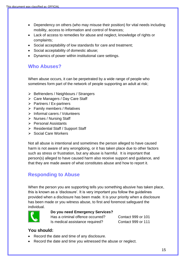- Dependency on others (who may misuse their position) for vital needs including mobility, access to information and control of finances;
- Lack of access to remedies for abuse and neglect, knowledge of rights or complaints;
- Social acceptability of low standards for care and treatment;
- Social acceptability of domestic abuse;
- Dynamics of power within institutional care settings.

### **Who Abuses?**

When abuse occurs, it can be perpetrated by a wide range of people who sometimes form part of the network of people supporting an adult at risk;

- ➢ Befrienders / Neighbours / Strangers
- ➢ Care Managers / Day Care Staff
- ➢ Partners / Ex-partners
- ➢ Family members / Relatives
- ➢ Informal carers / Volunteers
- ➢ Nurses / Nursing Staff
- ➢ Personal Assistants
- ➢ Residential Staff / Support Staff
- ➢ Social Care Workers

Not all abuse is intentional and sometimes the person alleged to have caused harm is not aware of any wrongdoing, or it has taken place due to other factors such as stress or frustration, but any abuse is harmful. It is important that person(s) alleged to have caused harm also receive support and guidance, and that they are made aware of what constitutes abuse and how to report it.

### **Responding to Abuse**

When the person you are supporting tells you something abusive has taken place, this is known as a 'disclosure'. It is very important you follow the guidelines provided when a disclosure has been made. It is your priority when a disclosure has been made or you witness abuse, to first and foremost safeguard the individual.



#### **Do you need Emergency Services?**

Has a criminal offence occurred? Contact 999 or 101 Is medical assistance required? Contact 999 or 111

#### **You should:**

- Record the date and time of any disclosure.
- Record the date and time you witnessed the abuse or neglect.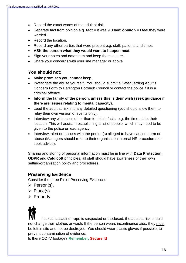- Record the exact words of the adult at risk.
- Separate fact from opinion e.g. **fact** = it was 9.00am; **opinion** = I feel they were worried.
- Record the location.
- Record any other parties that were present e.g. staff, patients and times.
- **ASK the person what they would want to happen next.**
- Sign your notes and date them and keep them secure.
- Share your concerns with your line manager or above.

#### **You should not:**

- **Make promises you cannot keep.**
- Investigate the abuse yourself. You should submit a Safeguarding Adult's Concern Form to Darlington Borough Council or contact the police if it is a criminal offence.
- **Inform the family of the person, unless this is their wish (seek guidance if there are issues relating to mental capacity).**
- Lead the adult at risk into any detailed questioning (you should allow them to relay their own version of events only).
- Interview any witnesses other than to obtain facts, e.g. the time, date, their location. This will assist in establishing a list of people, which may need to be given to the police or lead agency.
- Interview, alert or discuss with the person(s) alleged to have caused harm or abuse (Managers should refer to their organisation internal HR procedures or seek advice).

Sharing and storing of personal information must be in line with **Data Protection, GDPR** and **Caldicott** principles, all staff should have awareness of their own setting/organisation policy and procedures.

#### **Preserving Evidence**

Consider the three P's of Preserving Evidence:

- ➢ Person(s),
- ➢ Place(s)
- ➢ Property

 If sexual assault or rape is suspected or disclosed, the adult at risk should not change their clothes or wash. If the person wears incontinence aids, they must be left in situ and not be destroyed. You should wear plastic gloves if possible, to prevent contamination of evidence.

Is there CCTV footage? **Remember, Secure It!**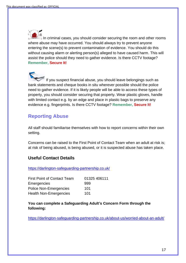In criminal cases, you should consider securing the room and other rooms where abuse may have occurred. You should always try to prevent anyone entering the scene(s) to prevent contamination of evidence. You should do this without causing alarm or alerting person(s) alleged to have caused harm. This will assist the police should they need to gather evidence. Is there CCTV footage? **Remember, Secure It!**

If you suspect financial abuse, you should leave belongings such as bank statements and cheque books in situ wherever possible should the police need to gather evidence. If it is likely people will be able to access these types of property, you should consider securing that property. Wear plastic gloves, handle with limited contact e.g. by an edge and place in plastic bags to preserve any evidence e.g. fingerprints. Is there CCTV footage? **Remember, Secure It!**

### **Reporting Abuse**

All staff should familiarise themselves with how to report concerns within their own setting.

Concerns can be raised to the First Point of Contact Team when an adult at risk is; at risk of being abused, is being abused, or it is suspected abuse has taken place.

#### **Useful Contact Details**

<https://darlington-safeguarding-partnership.co.uk/>

| <b>First Point of Contact Team</b> | 01325 406111 |
|------------------------------------|--------------|
| Emergencies                        | 999          |
| <b>Police Non-Emergencies</b>      | 101          |
| <b>Health Non-Emergencies</b>      | 101          |

**You can complete a Safeguarding Adult's Concern Form through the following:**

<https://darlington-safeguarding-partnership.co.uk/about-us/worried-about-an-adult/>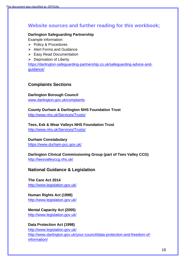### **Website sources and further reading for this workbook;**

#### **Darlington Safeguarding Partnership**

Example information:

- ➢ Policy & Procedures
- ➢ Alert Forms and Guidance
- ➢ Easy Read Documentation
- ➢ Deprivation of Liberty

[https://darlington-safeguarding-partnership.co.uk/safeguarding-advice-and](https://darlington-safeguarding-partnership.co.uk/safeguarding-advice-and-guidance/)[guidance/](https://darlington-safeguarding-partnership.co.uk/safeguarding-advice-and-guidance/)

#### **Complaints Sections**

**Darlington Borough Council** [www.darlington.gov.uk/complaints](http://www.darlington.gov.uk/complaints)

**County Durham & Darlington NHS Foundation Trust**  [http://www.nhs.uk/Services/Trusts/](http://www.nhs.uk/Services/Trusts/ContactDetails/DefaultView.aspx?id=1748)

**Tees, Esk & Wear Valleys NHS Foundation Trust** [http://www.nhs.uk/Services/Trusts/](http://www.nhs.uk/Services/Trusts/ContactDetails/DefaultView.aspx?id=2382)

**Durham Constabulary** [https://www.durham-pcc.gov.uk/](https://www.durham-pcc.gov.uk/Information-Hub/How-to-make-a-complaint.aspx)

#### **Darlington Clinical Commissioning Group (part of Tees Valley CCG)** [http://teesvalleyccg.nhs.uk/](https://teesvalleyccg.nhs.uk/contact-us/compliments-and-complaints/)

**National Guidance & Legislation**

**The Care Act 2014**  [http://www.legislation.gov.uk/](http://www.legislation.gov.uk/ukpga/2014/23/contents/enacted)

**Human Rights Act (1998)** [http://www.legislation.gov.uk/](http://www.legislation.gov.uk/ukpga/1998/42/contents)

#### **Mental Capacity Act (2005)**

[http://www.legislation.gov.uk/](http://www.legislation.gov.uk/ukpga/2005/9/contents)

#### **Data Protection Act (1998)**

[http://www.legislation.gov.uk/](http://www.legislation.gov.uk/ukpga/1998/29/contents) [http://www.darlington.gov.uk/your-council/data-protection-and-freedom-of](http://www.darlington.gov.uk/your-council/data-protection-and-freedom-of-information/)[information/](http://www.darlington.gov.uk/your-council/data-protection-and-freedom-of-information/)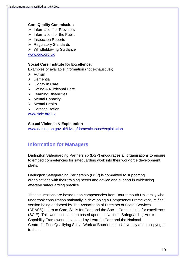#### **Care Quality Commission**

- ➢ Information for Providers
- $\triangleright$  Information for the Public
- ➢ Inspection Reports
- ➢ Regulatory Standards
- ➢ Whistleblowing Guidance

[www.cqc.org.uk](http://www.cqc.org.uk/)

#### **Social Care Institute for Excellence:**

Examples of available information (not exhaustive);

- ➢ Autism
- ➢ Dementia
- ➢ Dignity in Care
- ➢ Eating & Nutritional Care
- ➢ Learning Disabilities
- ➢ Mental Capacity
- ➢ Mental Health
- ➢ Personalisation

[www.scie.org.uk](http://www.scie.org.uk/)

#### **Sexual Violence & Exploitation**

[www.darlington.gov.uk/Living/domesticabuse/exploitation](http://www.darlington.gov.uk/Living/domesticabuse/exploitation)

#### **Information for Managers**

Darlington Safeguarding Partnership (DSP) encourages all organisations to ensure to embed competencies for safeguarding work into their workforce development plans.

Darlington Safeguarding Partnership (DSP) is committed to supporting organisations with their training needs and advice and support in evidencing effective safeguarding practice.

These questions are based upon competencies from Bournemouth University who undertook consultation nationally in developing a Competency Framework, its final version being endorsed by The Association of Directors of Social Services (ADASS) Learn to Care, Skills for Care and the Social Care institute for excellence (SCIE). This workbook is been based upon the National Safeguarding Adults Capability Framework, developed by Learn to Care and the National Centre for Post Qualifying Social Work at Bournemouth University and is copyright to them.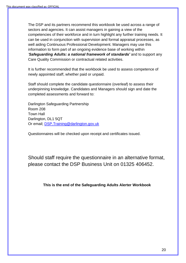The DSP and its partners recommend this workbook be used across a range of sectors and agencies. It can assist managers in gaining a view of the competencies of their workforce and in turn highlight any further training needs. It can be used in conjunction with supervision and formal appraisal processes, as well aiding Continuous Professional Development. Managers may use this information to form part of an ongoing evidence base of working within *'Safeguarding Adults: a national framework of standards'* and to support any Care Quality Commission or contractual related activities.

It is further recommended that the workbook be used to assess competence of newly appointed staff, whether paid or unpaid.

Staff should complete the candidate questionnaire (overleaf) to assess their underpinning knowledge. Candidates and Managers should sign and date the completed assessments and forward to:

Darlington Safeguarding Partnership Room 208 Town Hall Darlington, DL1 5QT Or email; [DSP.Training@darlington.gov.uk](mailto:DSP.Training@darlington.gov.uk)

Questionnaires will be checked upon receipt and certificates issued.

Should staff require the questionnaire in an alternative format, please contact the DSP Business Unit on 01325 406452.

**This is the end of the Safeguarding Adults Alerter Workbook**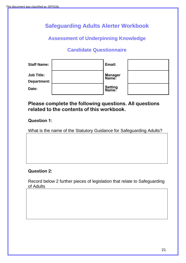## **Safeguarding Adults Alerter Workbook**

### **Assessment of Underpinning Knowledge**

### **Candidate Questionnaire**

| <b>Staff Name:</b>               | Email:                  |  |
|----------------------------------|-------------------------|--|
| <b>Job Title:</b><br>Department: | <b>Manager</b><br>Name: |  |
| Date:                            | <b>Setting</b><br>Name: |  |

### **Please complete the following questions. All questions related to the contents of this workbook.**

#### **Question 1:**

What is the name of the Statutory Guidance for Safeguarding Adults?

#### **Question 2:**

Record below 2 further pieces of legislation that relate to Safeguarding of Adults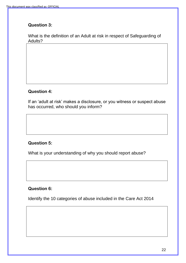### **Question 3:**

What is the definition of an Adult at risk in respect of Safeguarding of Adults?

#### **Question 4:**

If an 'adult at risk' makes a disclosure, or you witness or suspect abuse has occurred, who should you inform?

#### **Question 5:**

What is your understanding of why you should report abuse?

#### **Question 6:**

Identify the 10 categories of abuse included in the Care Act 2014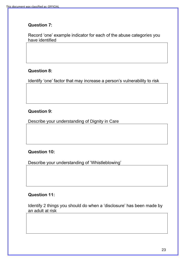### **Question 7:**

Record 'one' example indicator for each of the abuse categories you have identified

### **Question 8:**

Identify 'one' factor that may increase a person's vulnerability to risk

### **Question 9:**

Describe your understanding of Dignity in Care

### **Question 10:**

Describe your understanding of 'Whistleblowing'

### **Question 11:**

Identify 2 things you should do when a 'disclosure' has been made by an adult at risk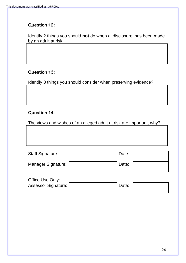### **Question 12:**

Identify 2 things you should **not** do when a 'disclosure' has been made by an adult at risk

#### **Question 13:**

Identify 3 things you should consider when preserving evidence?

#### **Question 14:**

The views and wishes of an alleged adult at risk are important, why?

| <b>Staff Signature:</b>    | Date: |  |
|----------------------------|-------|--|
| <b>Manager Signature:</b>  | Date: |  |
| Office Use Only:           |       |  |
| <b>Assessor Signature:</b> | Date: |  |